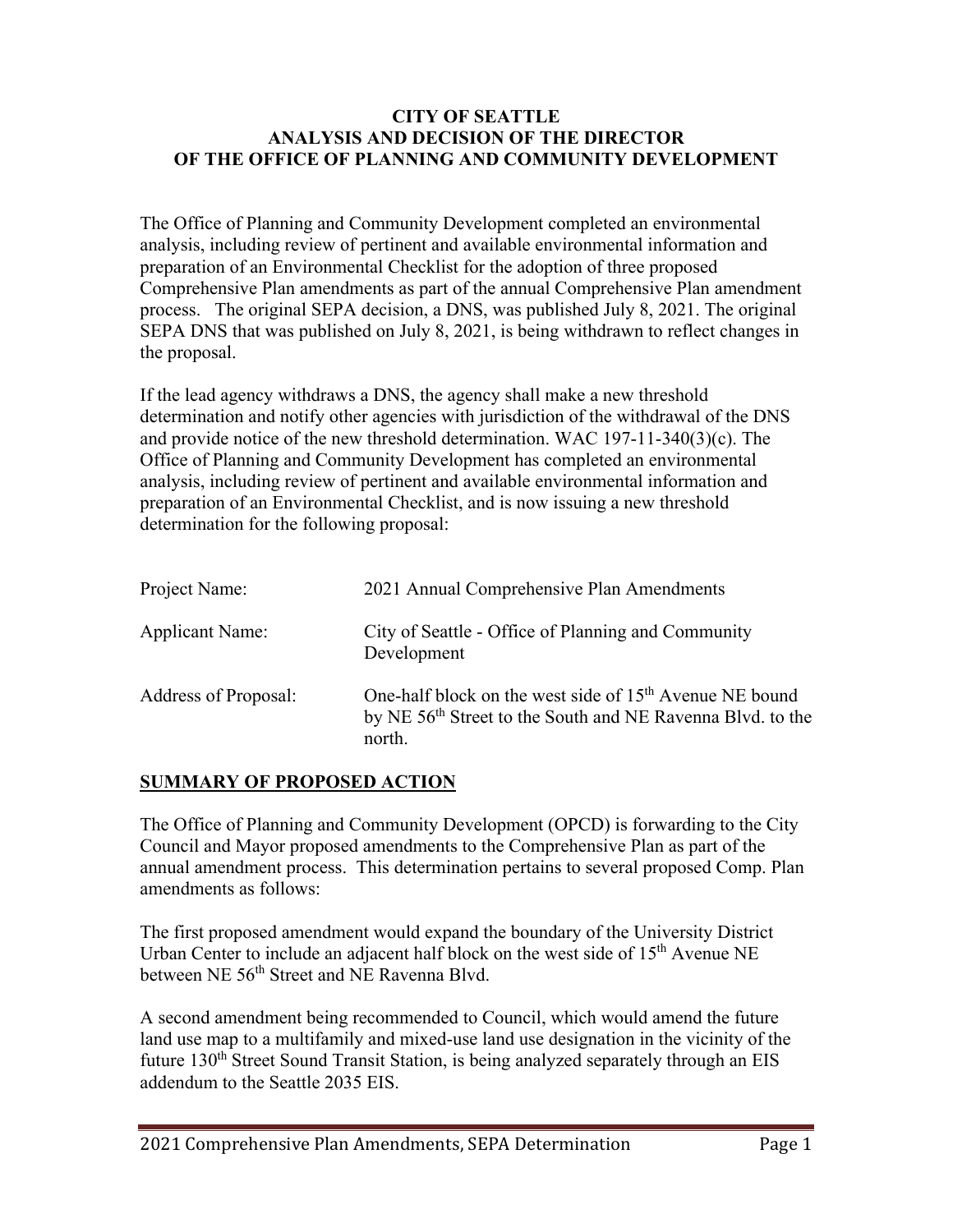#### **CITY OF SEATTLE ANALYSIS AND DECISION OF THE DIRECTOR OF THE OFFICE OF PLANNING AND COMMUNITY DEVELOPMENT**

The Office of Planning and Community Development completed an environmental analysis, including review of pertinent and available environmental information and preparation of an Environmental Checklist for the adoption of three proposed Comprehensive Plan amendments as part of the annual Comprehensive Plan amendment process. The original SEPA decision, a DNS, was published July 8, 2021. The original SEPA DNS that was published on July 8, 2021, is being withdrawn to reflect changes in the proposal.

If the lead agency withdraws a DNS, the agency shall make a new threshold determination and notify other agencies with jurisdiction of the withdrawal of the DNS and provide notice of the new threshold determination. WAC 197-11-340(3)(c). The Office of Planning and Community Development has completed an environmental analysis, including review of pertinent and available environmental information and preparation of an Environmental Checklist, and is now issuing a new threshold determination for the following proposal:

| Project Name:          | 2021 Annual Comprehensive Plan Amendments                                                                                                               |
|------------------------|---------------------------------------------------------------------------------------------------------------------------------------------------------|
| <b>Applicant Name:</b> | City of Seattle - Office of Planning and Community<br>Development                                                                                       |
| Address of Proposal:   | One-half block on the west side of 15 <sup>th</sup> Avenue NE bound<br>by NE 56 <sup>th</sup> Street to the South and NE Ravenna Blvd. to the<br>north. |

# **SUMMARY OF PROPOSED ACTION**

The Office of Planning and Community Development (OPCD) is forwarding to the City Council and Mayor proposed amendments to the Comprehensive Plan as part of the annual amendment process. This determination pertains to several proposed Comp. Plan amendments as follows:

The first proposed amendment would expand the boundary of the University District Urban Center to include an adjacent half block on the west side of 15<sup>th</sup> Avenue NE between NE 56<sup>th</sup> Street and NE Ravenna Blvd.

A second amendment being recommended to Council, which would amend the future land use map to a multifamily and mixed-use land use designation in the vicinity of the future 130<sup>th</sup> Street Sound Transit Station, is being analyzed separately through an EIS addendum to the Seattle 2035 EIS.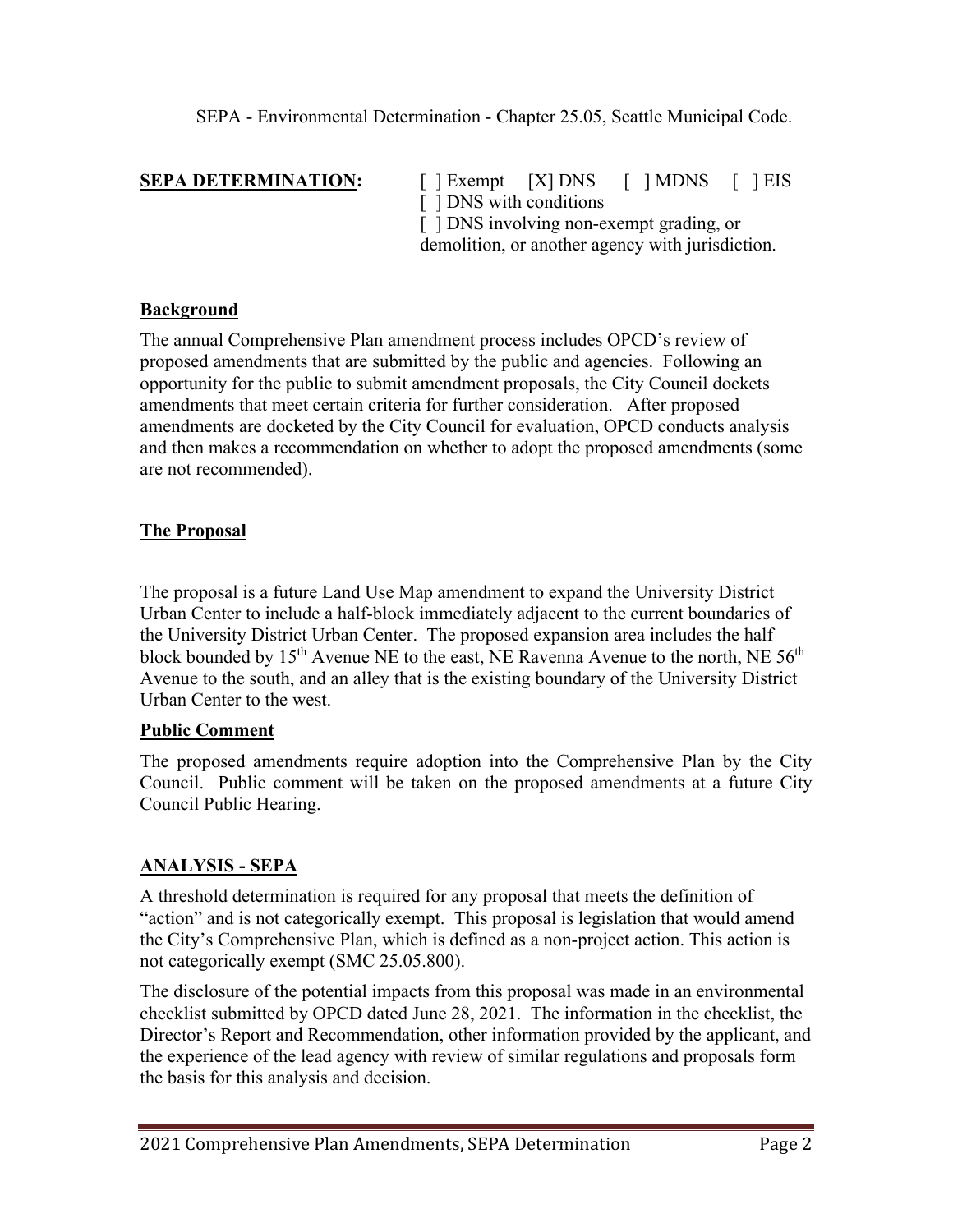**SEPA DETERMINATION:** [ ] Exempt [X] DNS [ ] MDNS [ ] EIS [ ] DNS with conditions [  $\vert$  DNS involving non-exempt grading, or demolition, or another agency with jurisdiction.

## **Background**

The annual Comprehensive Plan amendment process includes OPCD's review of proposed amendments that are submitted by the public and agencies. Following an opportunity for the public to submit amendment proposals, the City Council dockets amendments that meet certain criteria for further consideration. After proposed amendments are docketed by the City Council for evaluation, OPCD conducts analysis and then makes a recommendation on whether to adopt the proposed amendments (some are not recommended).

# **The Proposal**

The proposal is a future Land Use Map amendment to expand the University District Urban Center to include a half-block immediately adjacent to the current boundaries of the University District Urban Center. The proposed expansion area includes the half block bounded by 15<sup>th</sup> Avenue NE to the east, NE Ravenna Avenue to the north, NE 56<sup>th</sup> Avenue to the south, and an alley that is the existing boundary of the University District Urban Center to the west.

#### **Public Comment**

The proposed amendments require adoption into the Comprehensive Plan by the City Council. Public comment will be taken on the proposed amendments at a future City Council Public Hearing.

# **ANALYSIS - SEPA**

A threshold determination is required for any proposal that meets the definition of "action" and is not categorically exempt. This proposal is legislation that would amend the City's Comprehensive Plan, which is defined as a non-project action. This action is not categorically exempt (SMC 25.05.800).

The disclosure of the potential impacts from this proposal was made in an environmental checklist submitted by OPCD dated June 28, 2021. The information in the checklist, the Director's Report and Recommendation, other information provided by the applicant, and the experience of the lead agency with review of similar regulations and proposals form the basis for this analysis and decision.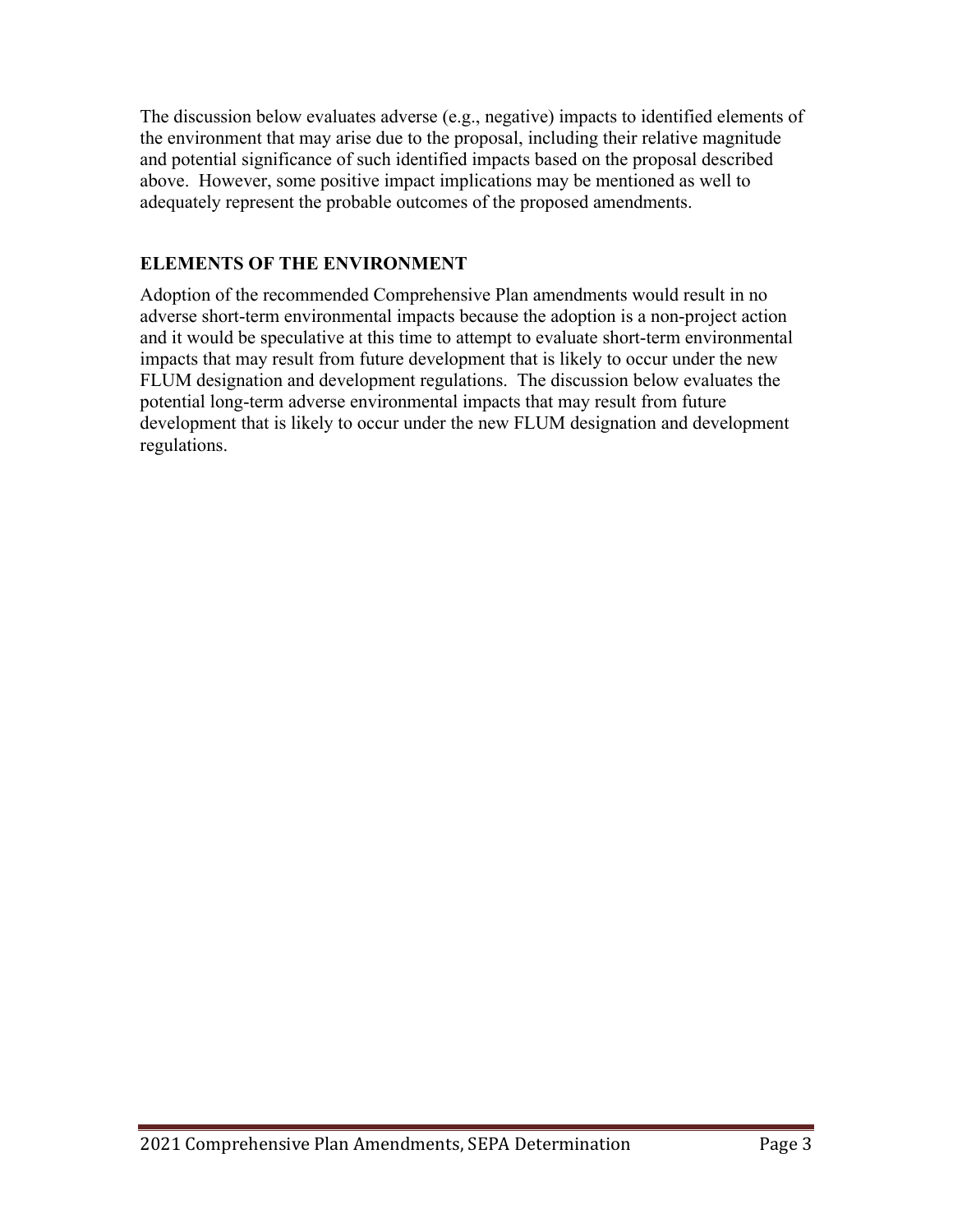The discussion below evaluates adverse (e.g., negative) impacts to identified elements of the environment that may arise due to the proposal, including their relative magnitude and potential significance of such identified impacts based on the proposal described above. However, some positive impact implications may be mentioned as well to adequately represent the probable outcomes of the proposed amendments.

# **ELEMENTS OF THE ENVIRONMENT**

Adoption of the recommended Comprehensive Plan amendments would result in no adverse short-term environmental impacts because the adoption is a non-project action and it would be speculative at this time to attempt to evaluate short-term environmental impacts that may result from future development that is likely to occur under the new FLUM designation and development regulations. The discussion below evaluates the potential long-term adverse environmental impacts that may result from future development that is likely to occur under the new FLUM designation and development regulations.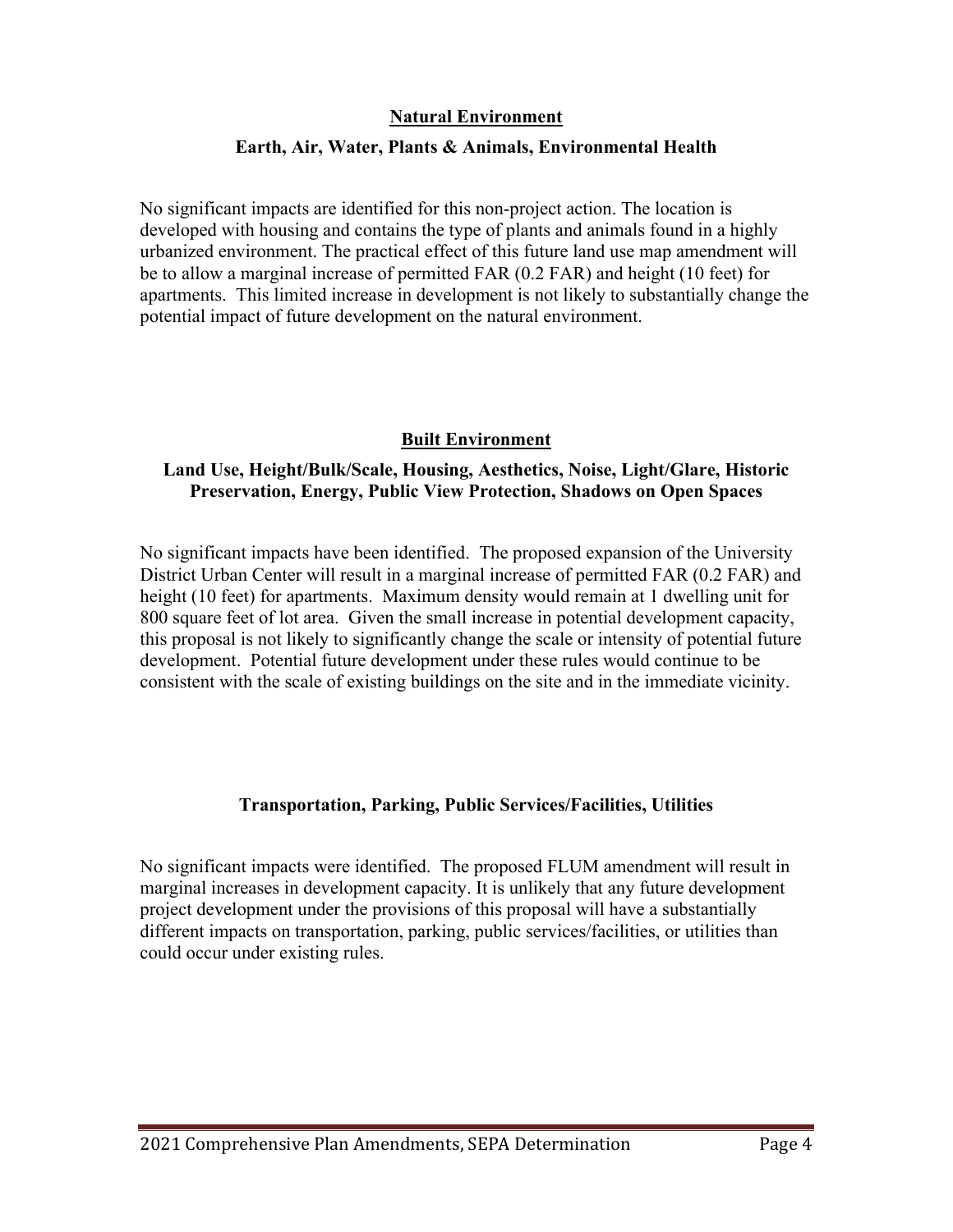#### **Natural Environment**

#### **Earth, Air, Water, Plants & Animals, Environmental Health**

No significant impacts are identified for this non-project action. The location is developed with housing and contains the type of plants and animals found in a highly urbanized environment. The practical effect of this future land use map amendment will be to allow a marginal increase of permitted FAR (0.2 FAR) and height (10 feet) for apartments. This limited increase in development is not likely to substantially change the potential impact of future development on the natural environment.

## **Built Environment**

## **Land Use, Height/Bulk/Scale, Housing, Aesthetics, Noise, Light/Glare, Historic Preservation, Energy, Public View Protection, Shadows on Open Spaces**

No significant impacts have been identified. The proposed expansion of the University District Urban Center will result in a marginal increase of permitted FAR (0.2 FAR) and height (10 feet) for apartments. Maximum density would remain at 1 dwelling unit for 800 square feet of lot area. Given the small increase in potential development capacity, this proposal is not likely to significantly change the scale or intensity of potential future development. Potential future development under these rules would continue to be consistent with the scale of existing buildings on the site and in the immediate vicinity.

# **Transportation, Parking, Public Services/Facilities, Utilities**

No significant impacts were identified. The proposed FLUM amendment will result in marginal increases in development capacity. It is unlikely that any future development project development under the provisions of this proposal will have a substantially different impacts on transportation, parking, public services/facilities, or utilities than could occur under existing rules.